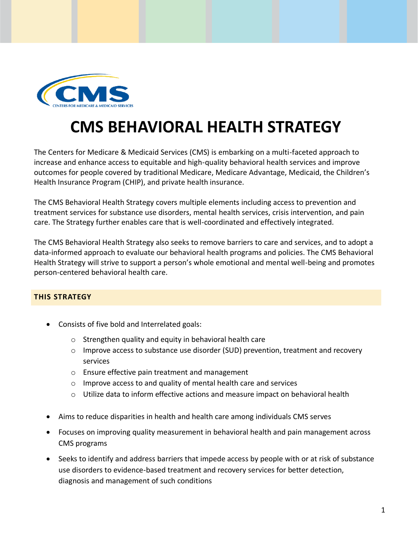

## **CMS BEHAVIORAL HEALTH STRATEGY**

The Centers for Medicare & Medicaid Services (CMS) is embarking on a multi-faceted approach to increase and enhance access to equitable and high-quality behavioral health services and improve outcomes for people covered by traditional Medicare, Medicare Advantage, Medicaid, the Children's Health Insurance Program (CHIP), and private health insurance.

The CMS Behavioral Health Strategy covers multiple elements including access to prevention and treatment services for substance use disorders, mental health services, crisis intervention, and pain care. The Strategy further enables care that is well-coordinated and effectively integrated.

The CMS Behavioral Health Strategy also seeks to remove barriers to care and services, and to adopt a data-informed approach to evaluate our behavioral health programs and policies. The CMS Behavioral Health Strategy will strive to support a person's whole emotional and mental well-being and promotes person-centered behavioral health care.

## **THIS STRATEGY**

- Consists of five bold and Interrelated goals:
	- o Strengthen quality and equity in behavioral health care
	- $\circ$  Improve access to substance use disorder (SUD) prevention, treatment and recovery services
	- o Ensure effective pain treatment and management
	- o Improve access to and quality of mental health care and services
	- $\circ$  Utilize data to inform effective actions and measure impact on behavioral health
- Aims to reduce disparities in health and health care among individuals CMS serves
- Focuses on improving quality measurement in behavioral health and pain management across CMS programs
- Seeks to identify and address barriers that impede access by people with or at risk of substance use disorders to evidence-based treatment and recovery services for better detection, diagnosis and management of such conditions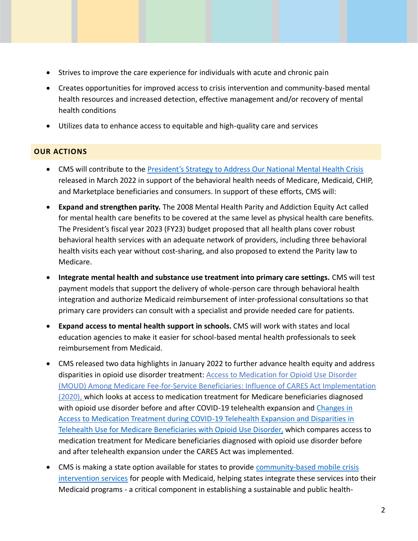- Strives to improve the care experience for individuals with acute and chronic pain
- Creates opportunities for improved access to crisis intervention and community-based mental health resources and increased detection, effective management and/or recovery of mental health conditions
- Utilizes data to enhance access to equitable and high-quality care and services

## **OUR ACTIONS**

- CMS will contribute to th[e President's Strategy to Address Our National Mental Health Crisis](https://www.whitehouse.gov/briefing-room/statements-releases/2022/03/01/fact-sheet-president-biden-to-announce-strategy-to-address-our-national-mental-health-crisis-as-part-of-unity-agenda-in-his-first-state-of-the-union/) released in March 2022 in support of the behavioral health needs of Medicare, Medicaid, CHIP, and Marketplace beneficiaries and consumers. In support of these efforts, CMS will:
- **Expand and strengthen parity.** The 2008 Mental Health Parity and Addiction Equity Act called for mental health care benefits to be covered at the same level as physical health care benefits. The President's fiscal year 2023 (FY23) budget proposed that all health plans cover robust behavioral health services with an adequate network of providers, including three behavioral health visits each year without cost-sharing, and also proposed to extend the Parity law to Medicare.
- **Integrate mental health and substance use treatment into primary care settings.** CMS will test payment models that support the delivery of whole-person care through behavioral health integration and authorize Medicaid reimbursement of inter-professional consultations so that primary care providers can consult with a specialist and provide needed care for patients.
- **Expand access to mental health support in schools.** CMS will work with states and local education agencies to make it easier for school-based mental health professionals to seek reimbursement from Medicaid.
- CMS released two data highlights in January 2022 to further advance health equity and address disparities in opioid use disorder treatment: [Access to Medication for Opioid Use Disorder](https://www.cms.gov/files/document/data-highlight-jan-2022-opiod.pdf) [\(MOUD\) Among Medicare Fee-for-Service Beneficiaries: Influence of CARES Act Implementation](https://www.cms.gov/files/document/data-highlight-jan-2022-opiod.pdf) [\(2020\),](https://www.cms.gov/files/document/data-highlight-jan-2022-opiod.pdf) which looks at access to medication treatment for Medicare beneficiaries diagnosed with opioid use disorder before and after COVID-19 telehealth expansion and [Changes in](https://www.cms.gov/files/document/data-highlight-jan-2022.pdf)  [Access to Medication Treatment during COVID-19 Telehealth Expansion and Disparities in](https://www.cms.gov/files/document/data-highlight-jan-2022.pdf)  [Telehealth Use for Medicare Beneficiaries with Opioid Use Disorder,](https://www.cms.gov/files/document/data-highlight-jan-2022.pdf) which compares access to medication treatment for Medicare beneficiaries diagnosed with opioid use disorder before and after telehealth expansion under the CARES Act was implemented.
- CMS is making a state option available for states to provide [community-based mobile crisis](https://www.cms.gov/newsroom/press-releases/new-medicaid-option-promotes-enhanced-mental-health-substance-use-crisis-care) [intervention services](https://www.cms.gov/newsroom/press-releases/new-medicaid-option-promotes-enhanced-mental-health-substance-use-crisis-care) for people with Medicaid, helping states integrate these services into their Medicaid programs - a critical component in establishing a sustainable and public health-